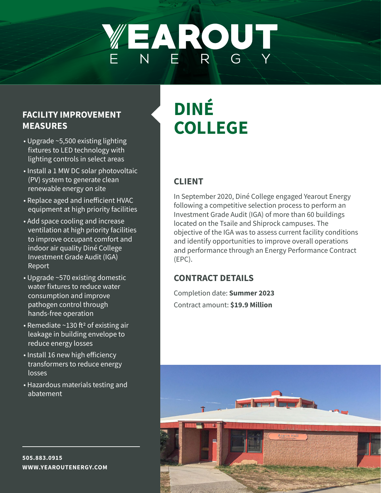# WEAROUT

### **FACILITY IMPROVEMENT MEASURES**

- Upgrade ~5,500 existing lighting fixtures to LED technology with lighting controls in select areas
- Install a 1 MW DC solar photovoltaic (PV) system to generate clean renewable energy on site
- Replace aged and inefficient HVAC equipment at high priority facilities
- Add space cooling and increase ventilation at high priority facilities to improve occupant comfort and indoor air quality Diné College Investment Grade Audit (IGA) Report
- Upgrade ~570 existing domestic water fixtures to reduce water consumption and improve pathogen control through hands-free operation
- Remediate  $\sim$ 130 ft<sup>2</sup> of existing air leakage in building envelope to reduce energy losses
- Install 16 new high efficiency transformers to reduce energy losses
- Hazardous materials testing and abatement

# **DINÉ COLLEGE**

# **CLIENT**

In September 2020, Diné College engaged Yearout Energy following a competitive selection process to perform an Investment Grade Audit (IGA) of more than 60 buildings located on the Tsaile and Shiprock campuses. The objective of the IGA was to assess current facility conditions and identify opportunities to improve overall operations and performance through an Energy Performance Contract (EPC).

## **CONTRACT DETAILS**

Completion date: **Summer 2023** Contract amount: **\$19.9 Million**



**505.883.0915 WWW.YEAROUTENERGY.COM**